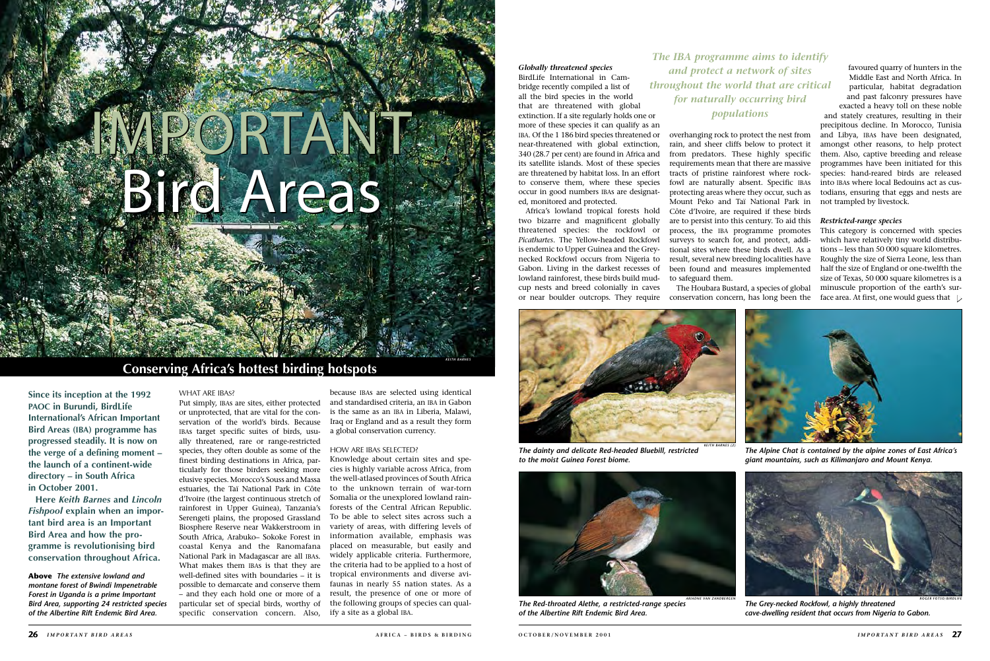**Since its inception at the 1992 PAOC in Burundi, BirdLife International's African Important Bird Areas (IBA) programme has progressed steadily. It is now on the verge of a defining moment – the launch of a continent-wide directory – in South Africa in October 2001.** 

**Here** *Keith Barnes* **and** *Lincoln Fishpool* **explain when an important bird area is an Important Bird Area and how the programme is revolutionising bird conservation throughout Africa.**

Put simply, IBAs are sites, either protected or unprotected, that are vital for the conservation of the world's birds. Because IBAs target specific suites of birds, usually threatened, rare or range-restricted species, they often double as some of the finest birding destinations in Africa, particularly for those birders seeking more elusive species. Morocco's Souss and Massa estuaries, the Taï National Park in Côte d'Ivoire (the largest continuous stretch of rainforest in Upper Guinea), Tanzania's Serengeti plains, the proposed Grassland Biosphere Reserve near Wakkerstroom in South Africa, Arabuko– Sokoke Forest in coastal Kenya and the Ranomafana National Park in Madagascar are all IBAs. What makes them IBAs is that they are well-defined sites with boundaries – it is possible to demarcate and conserve them – and they each hold one or more of a particular set of special birds, worthy of specific conservation concern. Also,

because IBAs are selected using identical and standardised criteria, an IBA in Gabon is the same as an IBA in Liberia, Malawi, Iraq or England and as a result they form a global conservation currency.

# How are IBAs selected?

Knowledge about certain sites and species is highly variable across Africa, from the well-atlased provinces of South Africa to the unknown terrain of war-torn Somalia or the unexplored lowland rainforests of the Central African Republic. To be able to select sites across such a variety of areas, with differing levels of information available, emphasis was placed on measurable, but easily and widely applicable criteria. Furthermore, the criteria had to be applied to a host of tropical environments and diverse avifaunas in nearly 55 nation states. As a result, the presence of one or more of the following groups of species can qualify a site as a global IBA.

This category is concerned with species which have relatively tiny world distributions – less than 50 000 square kilometres. Roughly the size of Sierra Leone, less than half the size of England or one-twelfth the size of Texas, 50 000 square kilometres is a minuscule proportion of the earth's surface area. At first, one would guess that  $\Box$ 

*Globally threatened species* BirdLife International in Cambridge recently compiled a list of all the bird species in the world that are threatened with global extinction. If a site regularly holds one or more of these species it can qualify as an IBA. Of the 1 186 bird species threatened or near-threatened with global extinction, 340 (28.7 per cent) are found in Africa and its satellite islands. Most of these species are threatened by habitat loss. In an effort to conserve them, where these species

occur in good numbers IBAs are designat-

# IMPORTANT Bird Areas Important Bird Areas

ed, monitored and protected. Africa's lowland tropical forests hold two bizarre and magnificent globally threatened species: the rockfowl or *Picathartes*. The Yellow-headed Rockfowl is endemic to Upper Guinea and the Greynecked Rockfowl occurs from Nigeria to Gabon. Living in the darkest recesses of lowland rainforest, these birds build mudcup nests and breed colonially in caves or near boulder outcrops. They require

overhanging rock to protect the nest from rain, and sheer cliffs below to protect it from predators. These highly specific requirements mean that there are massive tracts of pristine rainforest where rockfowl are naturally absent. Specific IBAs protecting areas where they occur, such as Mount Peko and Taï National Park in Côte d'Ivoire, are required if these birds are to persist into this century. To aid this process, the IBA programme promotes surveys to search for, and protect, additional sites where these birds dwell. As a result, several new breeding localities have been found and measures implemented to safeguard them.

The Houbara Bustard, a species of global conservation concern, has long been the

favoured quarry of hunters in the Middle East and North Africa. In particular, habitat degradation and past falconry pressures have exacted a heavy toll on these noble

and stately creatures, resulting in their precipitous decline. In Morocco, Tunisia and Libya, IBAs have been designated, amongst other reasons, to help protect them. Also, captive breeding and release programmes have been initiated for this species: hand-reared birds are released into IBAs where local Bedouins act as custodians, ensuring that eggs and nests are not trampled by livestock.

# *Restricted-range species*

# **Conserving Africa's hottest birding hotspots**



*ariadne van zandbergen The Red-throated Alethe, a restricted-range species of the Albertine Rift Endemic Bird Area.*

**Above** *The extensive lowland and montane forest of Bwindi Impenetrable Forest in Uganda is a prime Important Bird Area, supporting 24 restricted species of the Albertine Rift Endemic Bird Area.*

# WHAT ARE IBAS?

*The Alpine Chat is contained by the alpine zones of East Africa's giant mountains, such as Kilimanjaro and Mount Kenya.*



*The Grey-necked Rockfowl, a highly threatened cave-dwelling resident that occurs from Nigeria to Gabon.*



*The dainty and delicate Red-headed Bluebill, restricted to the moist Guinea Forest biome.*

*The IBA programme aims to identify and protect a network of sites throughout the world that are critical for naturally occurring bird populations* 

*roger fotso/birdlife*

*keith barnes*